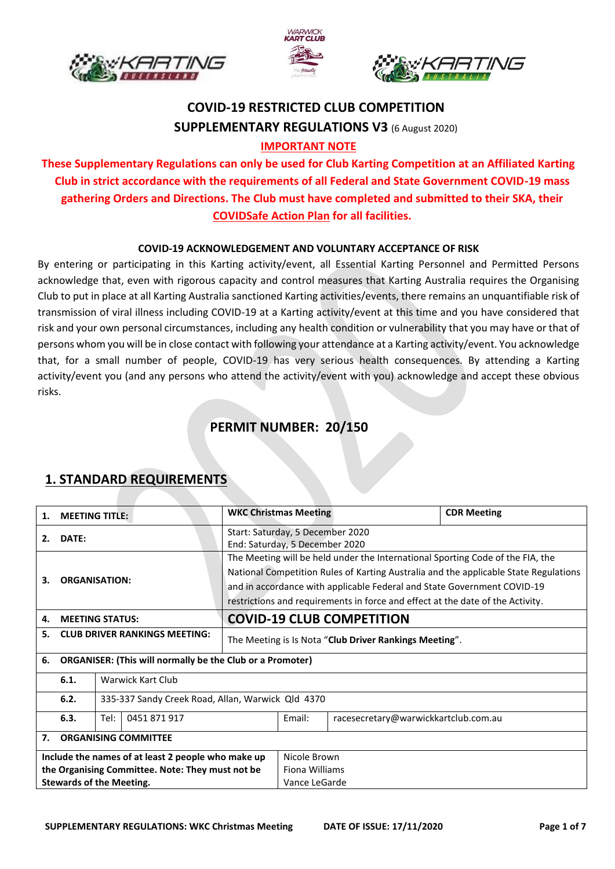





# **COVID-19 RESTRICTED CLUB COMPETITION SUPPLEMENTARY REGULATIONS V3** (6 August 2020) **IMPORTANT NOTE**

### **These Supplementary Regulations can only be used for Club Karting Competition at an Affiliated Karting Club in strict accordance with the requirements of all Federal and State Government COVID-19 mass gathering Orders and Directions. The Club must have completed and submitted to their SKA, their COVIDSafe Action Plan for all facilities.**

#### **COVID-19 ACKNOWLEDGEMENT AND VOLUNTARY ACCEPTANCE OF RISK**

By entering or participating in this Karting activity/event, all Essential Karting Personnel and Permitted Persons acknowledge that, even with rigorous capacity and control measures that Karting Australia requires the Organising Club to put in place at all Karting Australia sanctioned Karting activities/events, there remains an unquantifiable risk of transmission of viral illness including COVID-19 at a Karting activity/event at this time and you have considered that risk and your own personal circumstances, including any health condition or vulnerability that you may have or that of persons whom you will be in close contact with following your attendance at a Karting activity/event. You acknowledge that, for a small number of people, COVID-19 has very serious health consequences. By attending a Karting activity/event you (and any persons who attend the activity/event with you) acknowledge and accept these obvious risks.

### **PERMIT NUMBER: 20/150**

| 1.                                                                     | <b>MEETING TITLE:</b>                                     |                                                                                                                                                                                                                                                                                                                                     | <b>WKC Christmas Meeting</b>                                       |        |                                      | <b>CDR Meeting</b> |
|------------------------------------------------------------------------|-----------------------------------------------------------|-------------------------------------------------------------------------------------------------------------------------------------------------------------------------------------------------------------------------------------------------------------------------------------------------------------------------------------|--------------------------------------------------------------------|--------|--------------------------------------|--------------------|
| 2.                                                                     | DATE:                                                     |                                                                                                                                                                                                                                                                                                                                     | Start: Saturday, 5 December 2020<br>End: Saturday, 5 December 2020 |        |                                      |                    |
| <b>ORGANISATION:</b><br>3.                                             |                                                           | The Meeting will be held under the International Sporting Code of the FIA, the<br>National Competition Rules of Karting Australia and the applicable State Regulations<br>and in accordance with applicable Federal and State Government COVID-19<br>restrictions and requirements in force and effect at the date of the Activity. |                                                                    |        |                                      |                    |
| 4.                                                                     |                                                           | <b>MEETING STATUS:</b>                                                                                                                                                                                                                                                                                                              | <b>COVID-19 CLUB COMPETITION</b>                                   |        |                                      |                    |
| 5.                                                                     | <b>CLUB DRIVER RANKINGS MEETING:</b>                      |                                                                                                                                                                                                                                                                                                                                     | The Meeting is Is Nota "Club Driver Rankings Meeting".             |        |                                      |                    |
| <b>ORGANISER: (This will normally be the Club or a Promoter)</b><br>6. |                                                           |                                                                                                                                                                                                                                                                                                                                     |                                                                    |        |                                      |                    |
|                                                                        | Warwick Kart Club<br>6.1.                                 |                                                                                                                                                                                                                                                                                                                                     |                                                                    |        |                                      |                    |
|                                                                        | 6.2.<br>335-337 Sandy Creek Road, Allan, Warwick Qld 4370 |                                                                                                                                                                                                                                                                                                                                     |                                                                    |        |                                      |                    |
|                                                                        | 0451871917<br>6.3.<br>Tel:                                |                                                                                                                                                                                                                                                                                                                                     |                                                                    | Email: | racesecretary@warwickkartclub.com.au |                    |
| 7.                                                                     | <b>ORGANISING COMMITTEE</b>                               |                                                                                                                                                                                                                                                                                                                                     |                                                                    |        |                                      |                    |
| Include the names of at least 2 people who make up                     |                                                           |                                                                                                                                                                                                                                                                                                                                     | Nicole Brown                                                       |        |                                      |                    |
| the Organising Committee. Note: They must not be                       |                                                           |                                                                                                                                                                                                                                                                                                                                     | Fiona Williams                                                     |        |                                      |                    |
| <b>Stewards of the Meeting.</b>                                        |                                                           |                                                                                                                                                                                                                                                                                                                                     | Vance LeGarde                                                      |        |                                      |                    |

#### **1. STANDARD REQUIREMENTS**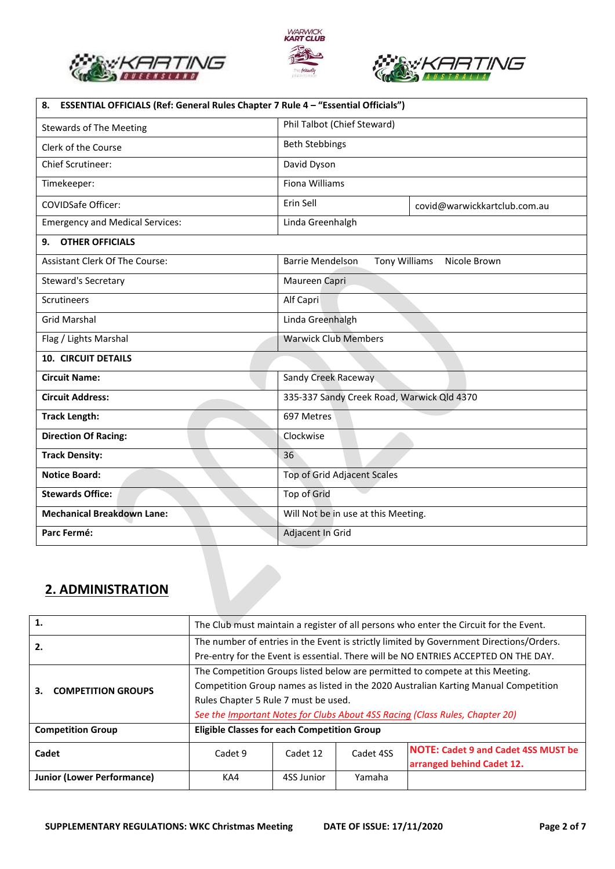





| ESSENTIAL OFFICIALS (Ref: General Rules Chapter 7 Rule 4 - "Essential Officials")<br>8. |                                            |                               |  |  |
|-----------------------------------------------------------------------------------------|--------------------------------------------|-------------------------------|--|--|
| <b>Stewards of The Meeting</b>                                                          | Phil Talbot (Chief Steward)                |                               |  |  |
| Clerk of the Course                                                                     | <b>Beth Stebbings</b>                      |                               |  |  |
| Chief Scrutineer:                                                                       | David Dyson                                |                               |  |  |
| Timekeeper:                                                                             | <b>Fiona Williams</b>                      |                               |  |  |
| <b>COVIDSafe Officer:</b>                                                               | Erin Sell                                  | covid@warwickkartclub.com.au  |  |  |
| <b>Emergency and Medical Services:</b>                                                  | Linda Greenhalgh                           |                               |  |  |
| <b>OTHER OFFICIALS</b><br>9.                                                            |                                            |                               |  |  |
| Assistant Clerk Of The Course:                                                          | <b>Barrie Mendelson</b>                    | Tony Williams<br>Nicole Brown |  |  |
| <b>Steward's Secretary</b>                                                              | Maureen Capri                              |                               |  |  |
| <b>Scrutineers</b>                                                                      | Alf Capri                                  |                               |  |  |
| <b>Grid Marshal</b>                                                                     | Linda Greenhalgh                           |                               |  |  |
| Flag / Lights Marshal                                                                   | <b>Warwick Club Members</b>                |                               |  |  |
| <b>10. CIRCUIT DETAILS</b>                                                              |                                            |                               |  |  |
| <b>Circuit Name:</b>                                                                    | Sandy Creek Raceway                        |                               |  |  |
| <b>Circuit Address:</b>                                                                 | 335-337 Sandy Creek Road, Warwick Qld 4370 |                               |  |  |
| <b>Track Length:</b>                                                                    | 697 Metres                                 |                               |  |  |
| <b>Direction Of Racing:</b>                                                             | Clockwise                                  |                               |  |  |
| <b>Track Density:</b>                                                                   | 36                                         |                               |  |  |
| <b>Notice Board:</b>                                                                    | Top of Grid Adjacent Scales                |                               |  |  |
| <b>Stewards Office:</b>                                                                 | Top of Grid                                |                               |  |  |
| <b>Mechanical Breakdown Lane:</b>                                                       | Will Not be in use at this Meeting.        |                               |  |  |
| Parc Fermé:                                                                             | Adjacent In Grid                           |                               |  |  |

### **2. ADMINISTRATION**

| 1.                                                                                                                                                                                   | The Club must maintain a register of all persons who enter the Circuit for the Event.                                                                                                                                                                                                        |            |           |                                                                         |  |
|--------------------------------------------------------------------------------------------------------------------------------------------------------------------------------------|----------------------------------------------------------------------------------------------------------------------------------------------------------------------------------------------------------------------------------------------------------------------------------------------|------------|-----------|-------------------------------------------------------------------------|--|
| The number of entries in the Event is strictly limited by Government Directions/Orders.<br>2.<br>Pre-entry for the Event is essential. There will be NO ENTRIES ACCEPTED ON THE DAY. |                                                                                                                                                                                                                                                                                              |            |           |                                                                         |  |
| <b>COMPETITION GROUPS</b><br>3.                                                                                                                                                      | The Competition Groups listed below are permitted to compete at this Meeting.<br>Competition Group names as listed in the 2020 Australian Karting Manual Competition<br>Rules Chapter 5 Rule 7 must be used.<br>See the Important Notes for Clubs About 4SS Racing (Class Rules, Chapter 20) |            |           |                                                                         |  |
| <b>Competition Group</b>                                                                                                                                                             | <b>Eligible Classes for each Competition Group</b>                                                                                                                                                                                                                                           |            |           |                                                                         |  |
| Cadet                                                                                                                                                                                | Cadet 9                                                                                                                                                                                                                                                                                      | Cadet 12   | Cadet 4SS | <b>NOTE: Cadet 9 and Cadet 4SS MUST be</b><br>arranged behind Cadet 12. |  |
| <b>Junior (Lower Performance)</b>                                                                                                                                                    | KA4                                                                                                                                                                                                                                                                                          | 4SS Junior | Yamaha    |                                                                         |  |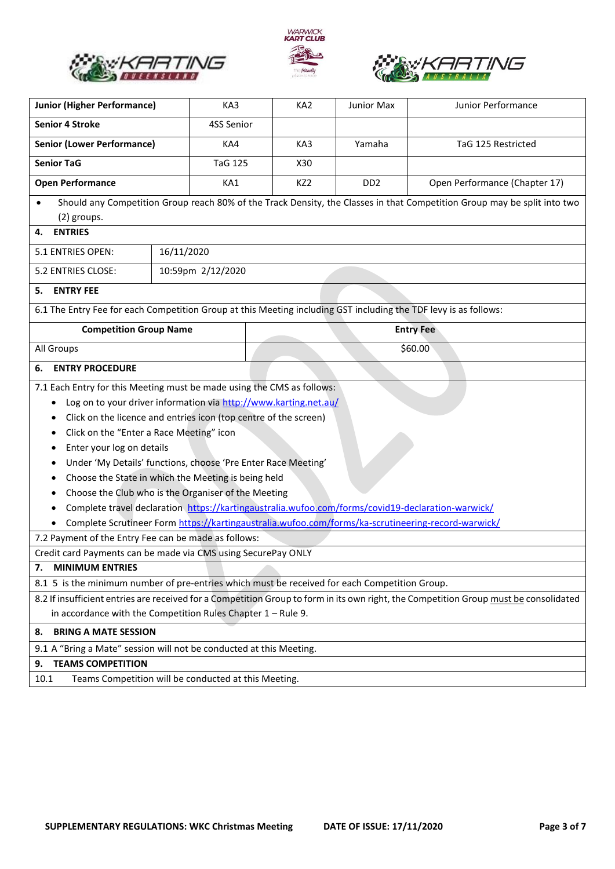





| <b>Junior (Higher Performance)</b>                                                                               | KA3                                                                                                | KA <sub>2</sub> | Junior Max                  | Junior Performance                                                                                                                    |  |
|------------------------------------------------------------------------------------------------------------------|----------------------------------------------------------------------------------------------------|-----------------|-----------------------------|---------------------------------------------------------------------------------------------------------------------------------------|--|
| <b>Senior 4 Stroke</b>                                                                                           | 4SS Senior                                                                                         |                 |                             |                                                                                                                                       |  |
| <b>Senior (Lower Performance)</b>                                                                                | KA4                                                                                                | KA3             | Yamaha                      | TaG 125 Restricted                                                                                                                    |  |
| <b>Senior TaG</b>                                                                                                | <b>TaG 125</b>                                                                                     | X30             |                             |                                                                                                                                       |  |
| <b>Open Performance</b>                                                                                          | KA1                                                                                                | KZ <sub>2</sub> | D <sub>D</sub> <sub>2</sub> | Open Performance (Chapter 17)                                                                                                         |  |
|                                                                                                                  |                                                                                                    |                 |                             | Should any Competition Group reach 80% of the Track Density, the Classes in that Competition Group may be split into two              |  |
| (2) groups.                                                                                                      |                                                                                                    |                 |                             |                                                                                                                                       |  |
| <b>ENTRIES</b><br>4.                                                                                             |                                                                                                    |                 |                             |                                                                                                                                       |  |
| 5.1 ENTRIES OPEN:                                                                                                | 16/11/2020                                                                                         |                 |                             |                                                                                                                                       |  |
| 5.2 ENTRIES CLOSE:                                                                                               | 10:59pm 2/12/2020                                                                                  |                 |                             |                                                                                                                                       |  |
| <b>ENTRY FEE</b><br>5.                                                                                           |                                                                                                    |                 |                             |                                                                                                                                       |  |
| 6.1 The Entry Fee for each Competition Group at this Meeting including GST including the TDF levy is as follows: |                                                                                                    |                 |                             |                                                                                                                                       |  |
| <b>Competition Group Name</b>                                                                                    |                                                                                                    |                 |                             | <b>Entry Fee</b>                                                                                                                      |  |
| All Groups                                                                                                       |                                                                                                    |                 |                             | \$60.00                                                                                                                               |  |
| <b>ENTRY PROCEDURE</b><br>6.                                                                                     |                                                                                                    |                 |                             |                                                                                                                                       |  |
| 7.1 Each Entry for this Meeting must be made using the CMS as follows:                                           |                                                                                                    |                 |                             |                                                                                                                                       |  |
| Log on to your driver information via http://www.karting.net.au/<br>٠                                            |                                                                                                    |                 |                             |                                                                                                                                       |  |
| ٠                                                                                                                | Click on the licence and entries icon (top centre of the screen)                                   |                 |                             |                                                                                                                                       |  |
| Click on the "Enter a Race Meeting" icon<br>٠                                                                    |                                                                                                    |                 |                             |                                                                                                                                       |  |
| Enter your log on details                                                                                        |                                                                                                    |                 |                             |                                                                                                                                       |  |
|                                                                                                                  | Under 'My Details' functions, choose 'Pre Enter Race Meeting'                                      |                 |                             |                                                                                                                                       |  |
|                                                                                                                  | Choose the State in which the Meeting is being held                                                |                 |                             |                                                                                                                                       |  |
|                                                                                                                  | Choose the Club who is the Organiser of the Meeting                                                |                 |                             |                                                                                                                                       |  |
| ٠                                                                                                                | Complete travel declaration https://kartingaustralia.wufoo.com/forms/covid19-declaration-warwick/  |                 |                             |                                                                                                                                       |  |
|                                                                                                                  | Complete Scrutineer Form https://kartingaustralia.wufoo.com/forms/ka-scrutineering-record-warwick/ |                 |                             |                                                                                                                                       |  |
| 7.2 Payment of the Entry Fee can be made as follows:                                                             |                                                                                                    |                 |                             |                                                                                                                                       |  |
| Credit card Payments can be made via CMS using SecurePay ONLY                                                    |                                                                                                    |                 |                             |                                                                                                                                       |  |
| <b>MINIMUM ENTRIES</b><br>7.                                                                                     |                                                                                                    |                 |                             |                                                                                                                                       |  |
| 8.1 5 is the minimum number of pre-entries which must be received for each Competition Group.                    |                                                                                                    |                 |                             |                                                                                                                                       |  |
|                                                                                                                  |                                                                                                    |                 |                             | 8.2 If insufficient entries are received for a Competition Group to form in its own right, the Competition Group must be consolidated |  |
| in accordance with the Competition Rules Chapter $1 -$ Rule 9.                                                   |                                                                                                    |                 |                             |                                                                                                                                       |  |
| <b>BRING A MATE SESSION</b><br>8.                                                                                |                                                                                                    |                 |                             |                                                                                                                                       |  |
| 9.1 A "Bring a Mate" session will not be conducted at this Meeting.                                              |                                                                                                    |                 |                             |                                                                                                                                       |  |
| <b>TEAMS COMPETITION</b><br>9.                                                                                   |                                                                                                    |                 |                             |                                                                                                                                       |  |
| 10.1                                                                                                             | Teams Competition will be conducted at this Meeting.                                               |                 |                             |                                                                                                                                       |  |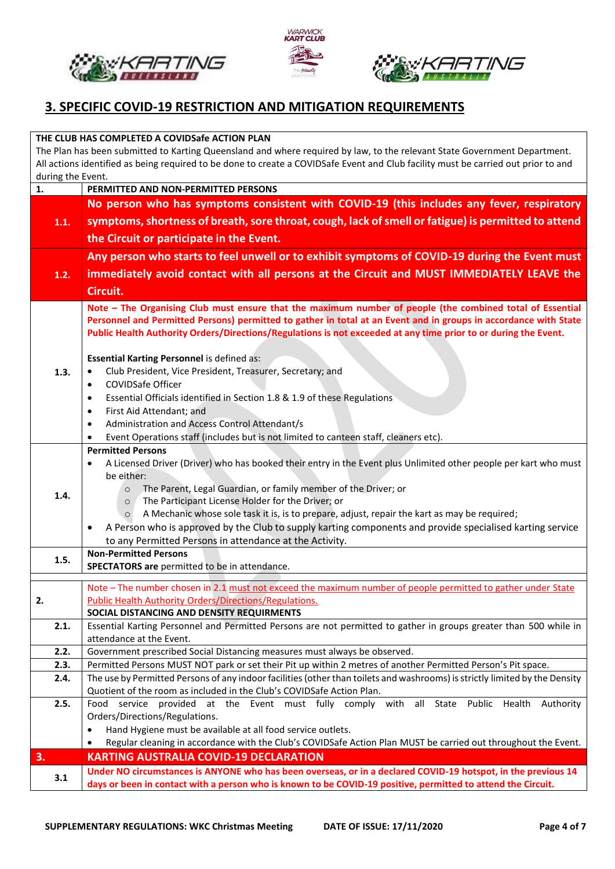





## **3. SPECIFIC COVID-19 RESTRICTION AND MITIGATION REQUIREMENTS**

| THE CLUB HAS COMPLETED A COVIDSafe ACTION PLAN                                                                                     |                                                                                                                                               |  |  |  |  |  |
|------------------------------------------------------------------------------------------------------------------------------------|-----------------------------------------------------------------------------------------------------------------------------------------------|--|--|--|--|--|
| The Plan has been submitted to Karting Queensland and where required by law, to the relevant State Government Department.          |                                                                                                                                               |  |  |  |  |  |
| All actions identified as being required to be done to create a COVIDSafe Event and Club facility must be carried out prior to and |                                                                                                                                               |  |  |  |  |  |
| during the Event.                                                                                                                  |                                                                                                                                               |  |  |  |  |  |
| 1.                                                                                                                                 | PERMITTED AND NON-PERMITTED PERSONS                                                                                                           |  |  |  |  |  |
|                                                                                                                                    | No person who has symptoms consistent with COVID-19 (this includes any fever, respiratory                                                     |  |  |  |  |  |
| 1.1.                                                                                                                               | symptoms, shortness of breath, sore throat, cough, lack of smell or fatigue) is permitted to attend                                           |  |  |  |  |  |
|                                                                                                                                    | the Circuit or participate in the Event.                                                                                                      |  |  |  |  |  |
|                                                                                                                                    | Any person who starts to feel unwell or to exhibit symptoms of COVID-19 during the Event must                                                 |  |  |  |  |  |
| 1.2.                                                                                                                               | immediately avoid contact with all persons at the Circuit and MUST IMMEDIATELY LEAVE the                                                      |  |  |  |  |  |
|                                                                                                                                    | Circuit.                                                                                                                                      |  |  |  |  |  |
|                                                                                                                                    | Note - The Organising Club must ensure that the maximum number of people (the combined total of Essential                                     |  |  |  |  |  |
|                                                                                                                                    | Personnel and Permitted Persons) permitted to gather in total at an Event and in groups in accordance with State                              |  |  |  |  |  |
|                                                                                                                                    | Public Health Authority Orders/Directions/Regulations is not exceeded at any time prior to or during the Event.                               |  |  |  |  |  |
|                                                                                                                                    |                                                                                                                                               |  |  |  |  |  |
|                                                                                                                                    | <b>Essential Karting Personnel is defined as:</b>                                                                                             |  |  |  |  |  |
| 1.3.                                                                                                                               | Club President, Vice President, Treasurer, Secretary; and<br>$\bullet$                                                                        |  |  |  |  |  |
|                                                                                                                                    | COVIDSafe Officer<br>$\bullet$                                                                                                                |  |  |  |  |  |
|                                                                                                                                    | Essential Officials identified in Section 1.8 & 1.9 of these Regulations<br>$\bullet$                                                         |  |  |  |  |  |
|                                                                                                                                    | First Aid Attendant; and<br>$\bullet$<br>Administration and Access Control Attendant/s<br>$\bullet$                                           |  |  |  |  |  |
|                                                                                                                                    | Event Operations staff (includes but is not limited to canteen staff, cleaners etc).<br>$\bullet$                                             |  |  |  |  |  |
|                                                                                                                                    | <b>Permitted Persons</b>                                                                                                                      |  |  |  |  |  |
|                                                                                                                                    | A Licensed Driver (Driver) who has booked their entry in the Event plus Unlimited other people per kart who must<br>$\bullet$                 |  |  |  |  |  |
|                                                                                                                                    | be either:                                                                                                                                    |  |  |  |  |  |
| 1.4.                                                                                                                               | The Parent, Legal Guardian, or family member of the Driver; or<br>$\circ$                                                                     |  |  |  |  |  |
|                                                                                                                                    | The Participant License Holder for the Driver; or<br>$\circ$                                                                                  |  |  |  |  |  |
|                                                                                                                                    | A Mechanic whose sole task it is, is to prepare, adjust, repair the kart as may be required;<br>$\circ$                                       |  |  |  |  |  |
|                                                                                                                                    | A Person who is approved by the Club to supply karting components and provide specialised karting service                                     |  |  |  |  |  |
|                                                                                                                                    | to any Permitted Persons in attendance at the Activity.<br><b>Non-Permitted Persons</b>                                                       |  |  |  |  |  |
| 1.5.                                                                                                                               | SPECTATORS are permitted to be in attendance.                                                                                                 |  |  |  |  |  |
|                                                                                                                                    |                                                                                                                                               |  |  |  |  |  |
|                                                                                                                                    | Note - The number chosen in 2.1 must not exceed the maximum number of people permitted to gather under State                                  |  |  |  |  |  |
| 2.                                                                                                                                 | <b>Public Health Authority Orders/Directions/Regulations.</b>                                                                                 |  |  |  |  |  |
|                                                                                                                                    | SOCIAL DISTANCING AND DENSITY REQUIRMENTS                                                                                                     |  |  |  |  |  |
| 2.1.                                                                                                                               | Essential Karting Personnel and Permitted Persons are not permitted to gather in groups greater than 500 while in<br>attendance at the Event. |  |  |  |  |  |
| 2.2.                                                                                                                               | Government prescribed Social Distancing measures must always be observed.                                                                     |  |  |  |  |  |
| 2.3.                                                                                                                               | Permitted Persons MUST NOT park or set their Pit up within 2 metres of another Permitted Person's Pit space.                                  |  |  |  |  |  |
| 2.4.                                                                                                                               | The use by Permitted Persons of any indoor facilities (other than toilets and washrooms) is strictly limited by the Density                   |  |  |  |  |  |
|                                                                                                                                    | Quotient of the room as included in the Club's COVIDSafe Action Plan.                                                                         |  |  |  |  |  |
| 2.5.                                                                                                                               | Food service provided at the Event must fully comply with all State Public Health<br>Authority                                                |  |  |  |  |  |
|                                                                                                                                    | Orders/Directions/Regulations.                                                                                                                |  |  |  |  |  |
|                                                                                                                                    | Hand Hygiene must be available at all food service outlets.<br>$\bullet$                                                                      |  |  |  |  |  |
|                                                                                                                                    | Regular cleaning in accordance with the Club's COVIDSafe Action Plan MUST be carried out throughout the Event.<br>$\bullet$                   |  |  |  |  |  |
| 3.                                                                                                                                 | <b>KARTING AUSTRALIA COVID-19 DECLARATION</b>                                                                                                 |  |  |  |  |  |
| 3.1                                                                                                                                | Under NO circumstances is ANYONE who has been overseas, or in a declared COVID-19 hotspot, in the previous 14                                 |  |  |  |  |  |
|                                                                                                                                    | days or been in contact with a person who is known to be COVID-19 positive, permitted to attend the Circuit.                                  |  |  |  |  |  |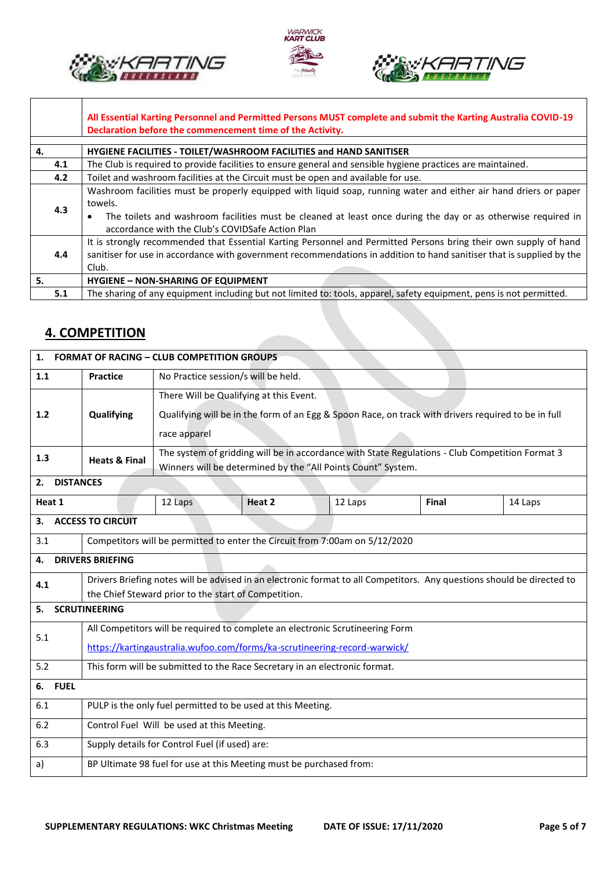





|     | All Essential Karting Personnel and Permitted Persons MUST complete and submit the Karting Australia COVID-19<br>Declaration before the commencement time of the Activity.                                                                                                                       |
|-----|--------------------------------------------------------------------------------------------------------------------------------------------------------------------------------------------------------------------------------------------------------------------------------------------------|
| 4.  | HYGIENE FACILITIES - TOILET/WASHROOM FACILITIES and HAND SANITISER                                                                                                                                                                                                                               |
| 4.1 | The Club is required to provide facilities to ensure general and sensible hygiene practices are maintained.                                                                                                                                                                                      |
| 4.2 | Toilet and washroom facilities at the Circuit must be open and available for use.                                                                                                                                                                                                                |
| 4.3 | Washroom facilities must be properly equipped with liquid soap, running water and either air hand driers or paper<br>towels.<br>The toilets and washroom facilities must be cleaned at least once during the day or as otherwise required in<br>accordance with the Club's COVIDSafe Action Plan |
| 4.4 | It is strongly recommended that Essential Karting Personnel and Permitted Persons bring their own supply of hand<br>sanitiser for use in accordance with government recommendations in addition to hand sanitiser that is supplied by the<br>Club.                                               |
| -5. | <b>HYGIENE - NON-SHARING OF EQUIPMENT</b>                                                                                                                                                                                                                                                        |
| 5.1 | The sharing of any equipment including but not limited to: tools, apparel, safety equipment, pens is not permitted.                                                                                                                                                                              |

## **4. COMPETITION**

┑

|                            | 1. FORMAT OF RACING - CLUB COMPETITION GROUPS                                                                          |                                                                                                 |        |                                                                                                     |       |         |
|----------------------------|------------------------------------------------------------------------------------------------------------------------|-------------------------------------------------------------------------------------------------|--------|-----------------------------------------------------------------------------------------------------|-------|---------|
| 1.1                        | <b>Practice</b>                                                                                                        | No Practice session/s will be held.                                                             |        |                                                                                                     |       |         |
|                            |                                                                                                                        | There Will be Qualifying at this Event.                                                         |        |                                                                                                     |       |         |
| 1.2                        | Qualifying                                                                                                             |                                                                                                 |        | Qualifying will be in the form of an Egg & Spoon Race, on track with drivers required to be in full |       |         |
|                            |                                                                                                                        | race apparel                                                                                    |        |                                                                                                     |       |         |
| 1.3                        | <b>Heats &amp; Final</b>                                                                                               | The system of gridding will be in accordance with State Regulations - Club Competition Format 3 |        |                                                                                                     |       |         |
|                            |                                                                                                                        |                                                                                                 |        | Winners will be determined by the "All Points Count" System.                                        |       |         |
| <b>DISTANCES</b><br>2.     |                                                                                                                        |                                                                                                 |        |                                                                                                     |       |         |
| Heat 1                     |                                                                                                                        | 12 Laps                                                                                         | Heat 2 | 12 Laps                                                                                             | Final | 14 Laps |
| 3.                         | <b>ACCESS TO CIRCUIT</b>                                                                                               |                                                                                                 |        |                                                                                                     |       |         |
| 3.1                        |                                                                                                                        |                                                                                                 |        | Competitors will be permitted to enter the Circuit from 7:00am on 5/12/2020                         |       |         |
| 4.                         | <b>DRIVERS BRIEFING</b>                                                                                                |                                                                                                 |        |                                                                                                     |       |         |
| 4.1                        | Drivers Briefing notes will be advised in an electronic format to all Competitors. Any questions should be directed to |                                                                                                 |        |                                                                                                     |       |         |
|                            | the Chief Steward prior to the start of Competition.                                                                   |                                                                                                 |        |                                                                                                     |       |         |
| <b>SCRUTINEERING</b><br>5. |                                                                                                                        |                                                                                                 |        |                                                                                                     |       |         |
| 5.1                        | All Competitors will be required to complete an electronic Scrutineering Form                                          |                                                                                                 |        |                                                                                                     |       |         |
|                            | https://kartingaustralia.wufoo.com/forms/ka-scrutineering-record-warwick/                                              |                                                                                                 |        |                                                                                                     |       |         |
| 5.2                        | This form will be submitted to the Race Secretary in an electronic format.                                             |                                                                                                 |        |                                                                                                     |       |         |
| 6.<br><b>FUEL</b>          |                                                                                                                        |                                                                                                 |        |                                                                                                     |       |         |
| 6.1                        |                                                                                                                        | PULP is the only fuel permitted to be used at this Meeting.                                     |        |                                                                                                     |       |         |
| 6.2                        |                                                                                                                        | Control Fuel Will be used at this Meeting.                                                      |        |                                                                                                     |       |         |
| 6.3                        |                                                                                                                        | Supply details for Control Fuel (if used) are:                                                  |        |                                                                                                     |       |         |
| a)                         |                                                                                                                        | BP Ultimate 98 fuel for use at this Meeting must be purchased from:                             |        |                                                                                                     |       |         |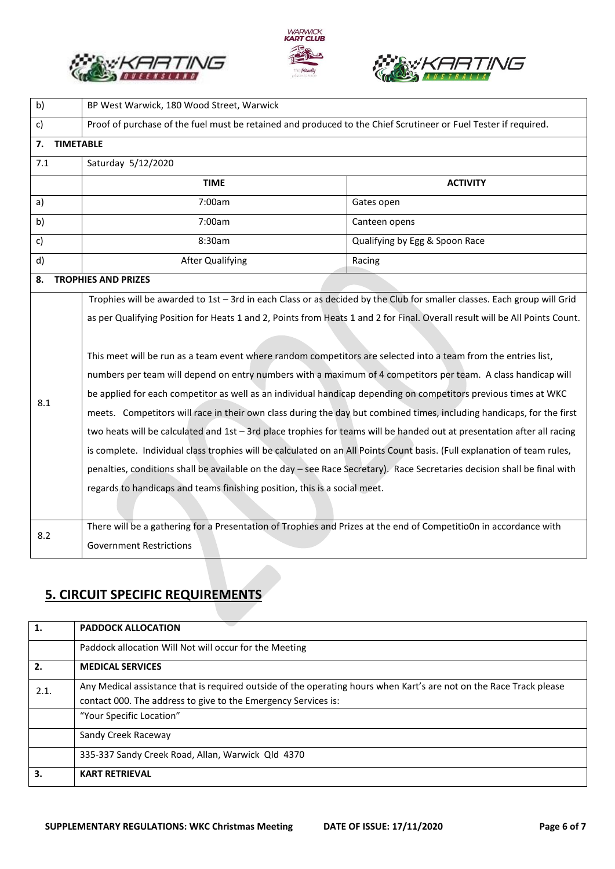





| b)                     | BP West Warwick, 180 Wood Street, Warwick                                                                                                                                                                                                                                                                                                                                                                                                                                                                                                                                                                                                                                                                                                                                                                                                                                                                                                                                                                                                                                                                                                                                                             |                                |  |  |  |
|------------------------|-------------------------------------------------------------------------------------------------------------------------------------------------------------------------------------------------------------------------------------------------------------------------------------------------------------------------------------------------------------------------------------------------------------------------------------------------------------------------------------------------------------------------------------------------------------------------------------------------------------------------------------------------------------------------------------------------------------------------------------------------------------------------------------------------------------------------------------------------------------------------------------------------------------------------------------------------------------------------------------------------------------------------------------------------------------------------------------------------------------------------------------------------------------------------------------------------------|--------------------------------|--|--|--|
| c)                     | Proof of purchase of the fuel must be retained and produced to the Chief Scrutineer or Fuel Tester if required.                                                                                                                                                                                                                                                                                                                                                                                                                                                                                                                                                                                                                                                                                                                                                                                                                                                                                                                                                                                                                                                                                       |                                |  |  |  |
| <b>TIMETABLE</b><br>7. |                                                                                                                                                                                                                                                                                                                                                                                                                                                                                                                                                                                                                                                                                                                                                                                                                                                                                                                                                                                                                                                                                                                                                                                                       |                                |  |  |  |
| 7.1                    | Saturday 5/12/2020                                                                                                                                                                                                                                                                                                                                                                                                                                                                                                                                                                                                                                                                                                                                                                                                                                                                                                                                                                                                                                                                                                                                                                                    |                                |  |  |  |
|                        | <b>TIME</b>                                                                                                                                                                                                                                                                                                                                                                                                                                                                                                                                                                                                                                                                                                                                                                                                                                                                                                                                                                                                                                                                                                                                                                                           | <b>ACTIVITY</b>                |  |  |  |
| a)                     | 7:00am                                                                                                                                                                                                                                                                                                                                                                                                                                                                                                                                                                                                                                                                                                                                                                                                                                                                                                                                                                                                                                                                                                                                                                                                | Gates open                     |  |  |  |
| b)                     | 7:00am                                                                                                                                                                                                                                                                                                                                                                                                                                                                                                                                                                                                                                                                                                                                                                                                                                                                                                                                                                                                                                                                                                                                                                                                | Canteen opens                  |  |  |  |
| c)                     | 8:30am                                                                                                                                                                                                                                                                                                                                                                                                                                                                                                                                                                                                                                                                                                                                                                                                                                                                                                                                                                                                                                                                                                                                                                                                | Qualifying by Egg & Spoon Race |  |  |  |
| d)                     | <b>After Qualifying</b>                                                                                                                                                                                                                                                                                                                                                                                                                                                                                                                                                                                                                                                                                                                                                                                                                                                                                                                                                                                                                                                                                                                                                                               | Racing                         |  |  |  |
| 8.                     | <b>TROPHIES AND PRIZES</b>                                                                                                                                                                                                                                                                                                                                                                                                                                                                                                                                                                                                                                                                                                                                                                                                                                                                                                                                                                                                                                                                                                                                                                            |                                |  |  |  |
| 8.1                    | Trophies will be awarded to 1st - 3rd in each Class or as decided by the Club for smaller classes. Each group will Grid<br>as per Qualifying Position for Heats 1 and 2, Points from Heats 1 and 2 for Final. Overall result will be All Points Count.<br>This meet will be run as a team event where random competitors are selected into a team from the entries list,<br>numbers per team will depend on entry numbers with a maximum of 4 competitors per team. A class handicap will<br>be applied for each competitor as well as an individual handicap depending on competitors previous times at WKC<br>meets. Competitors will race in their own class during the day but combined times, including handicaps, for the first<br>two heats will be calculated and 1st - 3rd place trophies for teams will be handed out at presentation after all racing<br>is complete. Individual class trophies will be calculated on an All Points Count basis. (Full explanation of team rules,<br>penalties, conditions shall be available on the day - see Race Secretary). Race Secretaries decision shall be final with<br>regards to handicaps and teams finishing position, this is a social meet. |                                |  |  |  |
| 8.2                    | There will be a gathering for a Presentation of Trophies and Prizes at the end of Competitio0n in accordance with<br><b>Government Restrictions</b>                                                                                                                                                                                                                                                                                                                                                                                                                                                                                                                                                                                                                                                                                                                                                                                                                                                                                                                                                                                                                                                   |                                |  |  |  |

# **5. CIRCUIT SPECIFIC REQUIREMENTS**

| 1.   | <b>PADDOCK ALLOCATION</b>                                                                                           |
|------|---------------------------------------------------------------------------------------------------------------------|
|      | Paddock allocation Will Not will occur for the Meeting                                                              |
| 2.   | <b>MEDICAL SERVICES</b>                                                                                             |
| 2.1. | Any Medical assistance that is required outside of the operating hours when Kart's are not on the Race Track please |
|      | contact 000. The address to give to the Emergency Services is:                                                      |
|      | "Your Specific Location"                                                                                            |
|      | Sandy Creek Raceway                                                                                                 |
|      | 335-337 Sandy Creek Road, Allan, Warwick Qld 4370                                                                   |
| 3.   | <b>KART RETRIEVAL</b>                                                                                               |